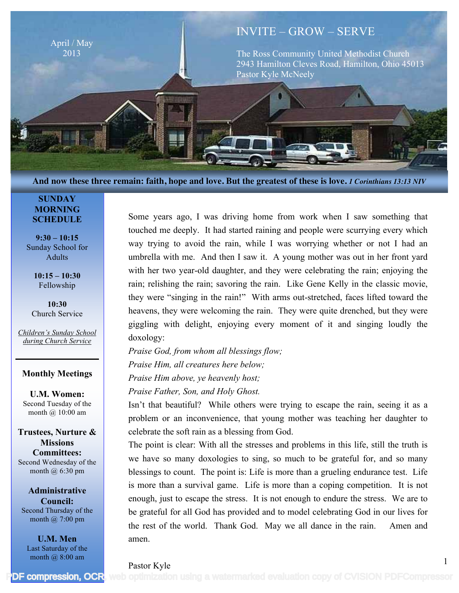

**And now these three remain: faith, hope and love. But the greatest of these is love.** *1 Corinthians 13:13 NIV*

#### **SUNDAY MORNING SCHEDULE**

**9:30 – 10:15** Sunday School for Adults

> **10:15 – 10:30** Fellowship

**10:30** Church Service

*Children's Sunday School during Church Service*

#### **Monthly Meetings**

**U.M. Women:** Second Tuesday of the month @ 10:00 am

**Trustees, Nurture & Missions Committees:** Second Wednesday of the month @ 6:30 pm

**Administrative Council:** Second Thursday of the month @ 7:00 pm

**U.M. Men** Last Saturday of the month @ 8:00 am

Some years ago, I was driving home from work when I saw something that touched me deeply. It had started raining and people were scurrying every which way trying to avoid the rain, while I was worrying whether or not I had an umbrella with me. And then I saw it. A young mother was out in her front yard with her two year-old daughter, and they were celebrating the rain; enjoying the rain; relishing the rain; savoring the rain. Like Gene Kelly in the classic movie, they were "singing in the rain!" With arms out-stretched, faces lifted toward the heavens, they were welcoming the rain. They were quite drenched, but they were giggling with delight, enjoying every moment of it and singing loudly the doxology:

*Praise God, from whom all blessings flow; Praise Him, all creatures here below; Praise Him above, ye heavenly host; Praise Father, Son, and Holy Ghost.*

Isn't that beautiful? While others were trying to escape the rain, seeing it as a problem or an inconvenience, that young mother was teaching her daughter to celebrate the soft rain as a blessing from God.

The point is clear: With all the stresses and problems in this life, still the truth is we have so many doxologies to sing, so much to be grateful for, and so many blessings to count. The point is: Life is more than a grueling endurance test. Life is more than a survival game. Life is more than a coping competition. It is not enough, just to escape the stress. It is not enough to endure the stress. We are to be grateful for all God has provided and to model celebrating God in our lives for the rest of the world. Thank God. May we all dance in the rain. Amen and amen.

1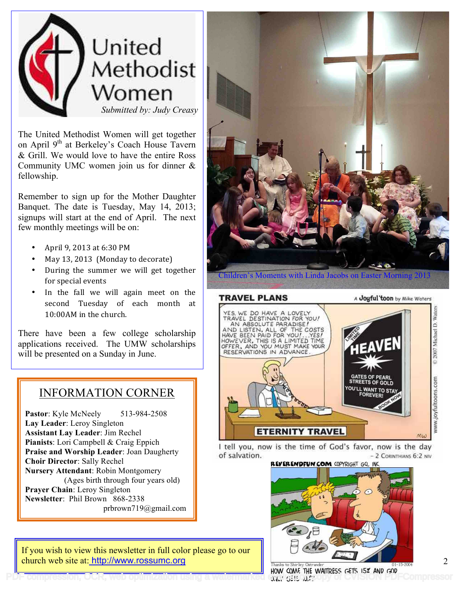

The United Methodist Women will get together on April 9<sup>th</sup> at Berkeley's Coach House Tavern & Grill. We would love to have the entire Ross Community UMC women join us for dinner & fellowship.

Remember to sign up for the Mother Daughter Banquet. The date is Tuesday, May 14, 2013; signups will start at the end of April. The next few monthly meetings will be on:

- April 9, 2013 at  $6:30$  PM
- May 13, 2013 (Monday to decorate)
- During the summer we will get together for special events
- In the fall we will again meet on the second Tuesday of each month at 10:00AM in the church.

There have been a few college scholarship applications received. The UMW scholarships will be presented on a Sunday in June.

# INFORMATION CORNER

**Pastor**: Kyle McNeely 513-984-2508 **Lay Leader**: Leroy Singleton **Assistant Lay Leader**: Jim Rechel **Pianists**: Lori Campbell & Craig Eppich **Praise and Worship Leader**: Joan Daugherty **Choir Director**: Sally Rechel **Nursery Attendant**: Robin Montgomery (Ages birth through four years old) **Prayer Chain**: Leroy Singleton **Newsletter**: Phil Brown 868-2338 prbrown719@gmail.com



I tell you, now is the time of God's favor, now is the day of salvation. - 2 CORINTHIANS 6:2 NIV



If you wish to view this newsletter in full color please go to our church web site at: http://www.rossumc.org

PDF contraction using a watermarked compressive the waitress gets 15% and god.<br>Web optimization using a watermarked copy caps way

2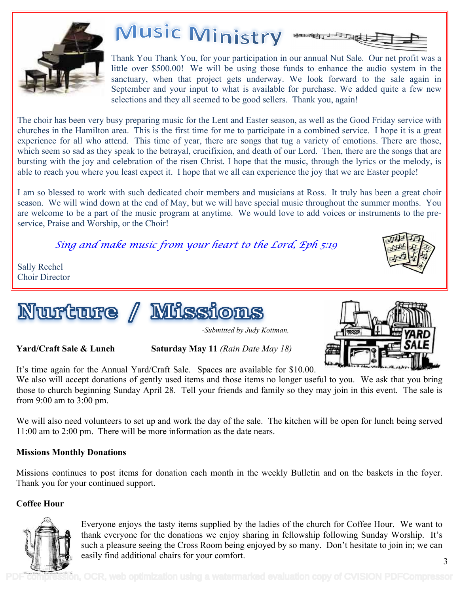

# Music Ministry

Thank You Thank You, for your participation in our annual Nut Sale. Our net profit was a little over \$500.00! We will be using those funds to enhance the audio system in the sanctuary, when that project gets underway. We look forward to the sale again in September and your input to what is available for purchase. We added quite a few new selections and they all seemed to be good sellers. Thank you, again!

The choir has been very busy preparing music for the Lent and Easter season, as well as the Good Friday service with churches in the Hamilton area. This is the first time for me to participate in a combined service. I hope it is a great experience for all who attend. This time of year, there are songs that tug a variety of emotions. There are those, which seem so sad as they speak to the betrayal, crucifixion, and death of our Lord. Then, there are the songs that are bursting with the joy and celebration of the risen Christ. I hope that the music, through the lyrics or the melody, is able to reach you where you least expect it. I hope that we all can experience the joy that we are Easter people!

I am so blessed to work with such dedicated choir members and musicians at Ross. It truly has been a great choir season. We will wind down at the end of May, but we will have special music throughout the summer months. You are welcome to be a part of the music program at anytime. We would love to add voices or instruments to the preservice, Praise and Worship, or the Choir!

*Sing and make music from your heart to the Lord, Eph 5:19*



Sally Rechel Choir Director





*-Submitted by Judy Kottman,* 

**Yard/Craft Sale & Lunch Saturday May 11** *(Rain Date May 18)*



It's time again for the Annual Yard/Craft Sale. Spaces are available for \$10.00. We also will accept donations of gently used items and those items no longer useful to you. We ask that you bring those to church beginning Sunday April 28. Tell your friends and family so they may join in this event. The sale is from 9:00 am to 3:00 pm.

We will also need volunteers to set up and work the day of the sale. The kitchen will be open for lunch being served 11:00 am to 2:00 pm. There will be more information as the date nears.

# **Missions Monthly Donations**

Missions continues to post items for donation each month in the weekly Bulletin and on the baskets in the foyer. Thank you for your continued support.

# **Coffee Hour**



Everyone enjoys the tasty items supplied by the ladies of the church for Coffee Hour. We want to thank everyone for the donations we enjoy sharing in fellowship following Sunday Worship. It's such a pleasure seeing the Cross Room being enjoyed by so many. Don't hesitate to join in; we can easily find additional chairs for your comfort.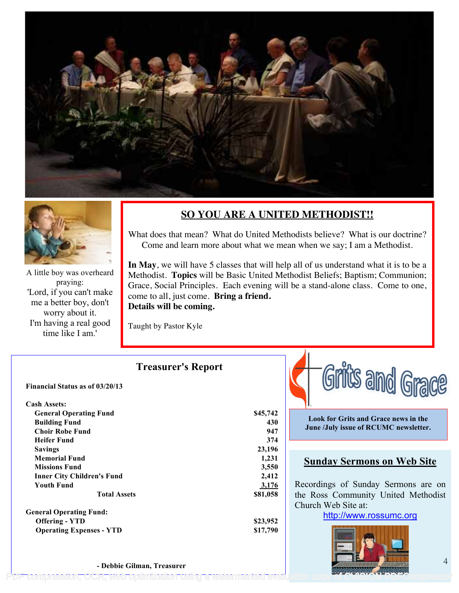



A little boy was overheard praying: 'Lord, if you can't make me a better boy, don't worry about it. I'm having a real good time like I am.'

# **SO YOU ARE A UNITED METHODIST!!**

What does that mean? What do United Methodists believe? What is our doctrine? Come and learn more about what we mean when we say; I am a Methodist.

**In May**, we will have 5 classes that will help all of us understand what it is to be a Methodist. **Topics** will be Basic United Methodist Beliefs; Baptism; Communion; Grace, Social Principles. Each evening will be a stand-alone class. Come to one, come to all, just come. **Bring a friend. Details will be coming.** 

Taught by Pastor Kyle

|                                        | <b>Treasurer's Report</b> |
|----------------------------------------|---------------------------|
| <b>Financial Status as of 03/20/13</b> |                           |
| <b>Cash Assets:</b>                    |                           |
| <b>General Operating Fund</b>          | \$45,742                  |
| <b>Building Fund</b>                   | 430                       |
| <b>Choir Robe Fund</b>                 | 947                       |
| <b>Heifer Fund</b>                     | 374                       |
| <b>Savings</b>                         | 23,196                    |
| <b>Memorial Fund</b>                   | 1,231                     |
| <b>Missions Fund</b>                   | 3,550                     |
| <b>Inner City Children's Fund</b>      | 2,412                     |
| <b>Youth Fund</b>                      | 3,176                     |
| <b>Total Assets</b>                    | \$81,058                  |
| <b>General Operating Fund:</b>         |                           |
| <b>Offering - YTD</b>                  | \$23,952                  |
| <b>Operating Expenses - YTD</b>        | \$17,790                  |
|                                        |                           |
|                                        |                           |



**Look for Grits and Grace news in the June /July issue of RCUMC newsletter.**

## **Sunday Sermons on Web Site**

Recordings of Sunday Sermons are on the Ross Community United Methodist Church Web Site at:

http://www.rossumc.org



**- Debbie Gilman, Treasurer**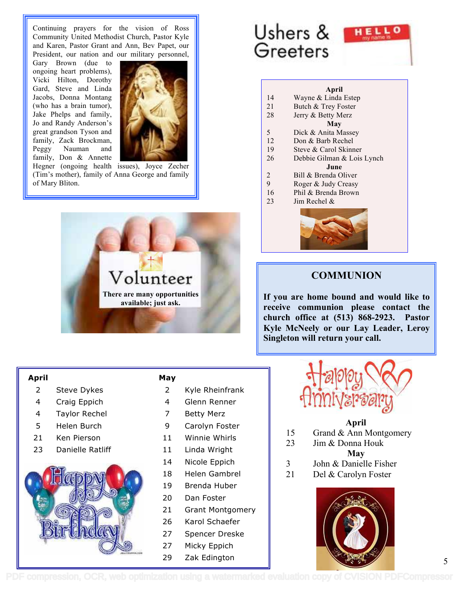Continuing prayers for the vision of Ross Community United Methodist Church, Pastor Kyle and Karen, Pastor Grant and Ann, Bev Papet, our President, our nation and our military personnel,

Gary Brown (due to ongoing heart problems), Vicki Hilton, Dorothy Gard, Steve and Linda Jacobs, Donna Montang (who has a brain tumor), Jake Phelps and family, Jo and Randy Anderson's great grandson Tyson and family, Zack Brockman, Peggy Nauman and family, Don & Annette



Hegner (ongoing health issues), Joyce Zecher (Tim's mother), family of Anna George and family of Mary Bliton.



#### **April**

- 2 Steve Dykes
- 4 Craig Eppich
- 4 Taylor Rechel
- 5 Helen Burch
- 21 Ken Pierson
- 23 Danielle Ratliff



#### **May**

- 2 Kyle Rheinfrank
- 4 Glenn Renner
- 7 Betty Merz
- 9 Carolyn Foster
- 11 Winnie Whirls
- 11 Linda Wright
- 14 Nicole Eppich
- 18 Helen Gambrel
- 19 Brenda Huber
- 20 Dan Foster
- 21 Grant Montgomery
- 26 Karol Schaefer
- 27 Spencer Dreske
- 27 Micky Eppich
- 29 Zak Edington

# Ushers & Greeters

#### **April**

HELL

- 14 Wayne & Linda Estep
- 21 Butch & Trey Foster
- 28 Jerry & Betty Merz

#### **May**

- 5 Dick & Anita Massey
- 12 Don & Barb Rechel
- 19 Steve & Carol Skinner
- 26 Debbie Gilman & Lois Lynch

#### **June**

- 2 Bill & Brenda Oliver
- 9 Roger & Judy Creasy
- 16 Phil & Brenda Brown
- 23 Jim Rechel &



## **COMMUNION**

**If you are home bound and would like to receive communion please contact the church office at (513) 868-2923. Pastor Kyle McNeely or our Lay Leader, Leroy Singleton will return your call.** 



#### **April**

- 15 Grand & Ann Montgomery
- 23 Jim & Donna Houk

**May**

- 3 John & Danielle Fisher
- 21 Del & Carolyn Foster